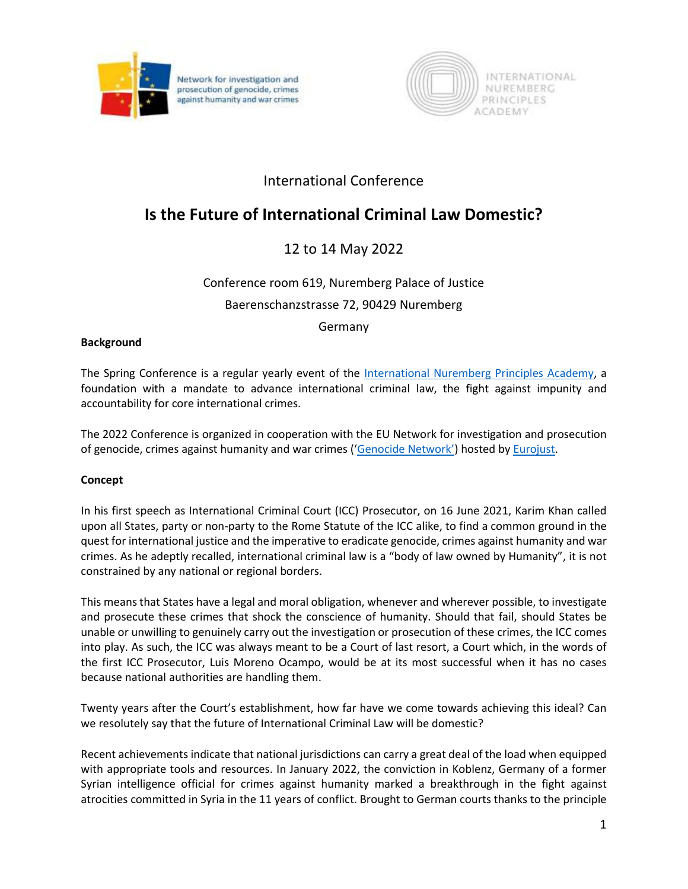



## International Conference

# **Is the Future of International Criminal Law Domestic?**

## 12 to 14 May 2022

### Conference room 619, Nuremberg Palace of Justice

Baerenschanzstrasse 72, 90429 Nuremberg

Germany

#### **Background**

The Spring Conference is a regular yearly event of the [International Nuremberg Principles Academy,](https://www.nurembergacademy.org/) a foundation with a mandate to advance international criminal law, the fight against impunity and accountability for core international crimes.

The 2022 Conference is organized in cooperation with the EU Network for investigation and prosecution of genocide, crimes against humanity and war crimes (['Genocide Network'](https://www.eurojust.europa.eu/judicial-cooperation/practitioner-networks/genocide-network/eu-day-against-impunity)) hosted by [Eurojust.](https://www.eurojust.europa.eu/about-us/who-we-are)

#### **Concept**

In his first speech as International Criminal Court (ICC) Prosecutor, on 16 June 2021, Karim Khan called upon all States, party or non-party to the Rome Statute of the ICC alike, to find a common ground in the quest for international justice and the imperative to eradicate genocide, crimes against humanity and war crimes. As he adeptly recalled, international criminal law is a "body of law owned by Humanity", it is not constrained by any national or regional borders.

This means that States have a legal and moral obligation, whenever and wherever possible, to investigate and prosecute these crimes that shock the conscience of humanity. Should that fail, should States be unable or unwilling to genuinely carry out the investigation or prosecution of these crimes, the ICC comes into play. As such, the ICC was always meant to be a Court of last resort, a Court which, in the words of the first ICC Prosecutor, Luis Moreno Ocampo, would be at its most successful when it has no cases because national authorities are handling them.

Twenty years after the Court's establishment, how far have we come towards achieving this ideal? Can we resolutely say that the future of International Criminal Law will be domestic?

Recent achievements indicate that national jurisdictions can carry a great deal of the load when equipped with appropriate tools and resources. In January 2022, the conviction in Koblenz, Germany of a former Syrian intelligence official for crimes against humanity marked a breakthrough in the fight against atrocities committed in Syria in the 11 years of conflict. Brought to German courts thanks to the principle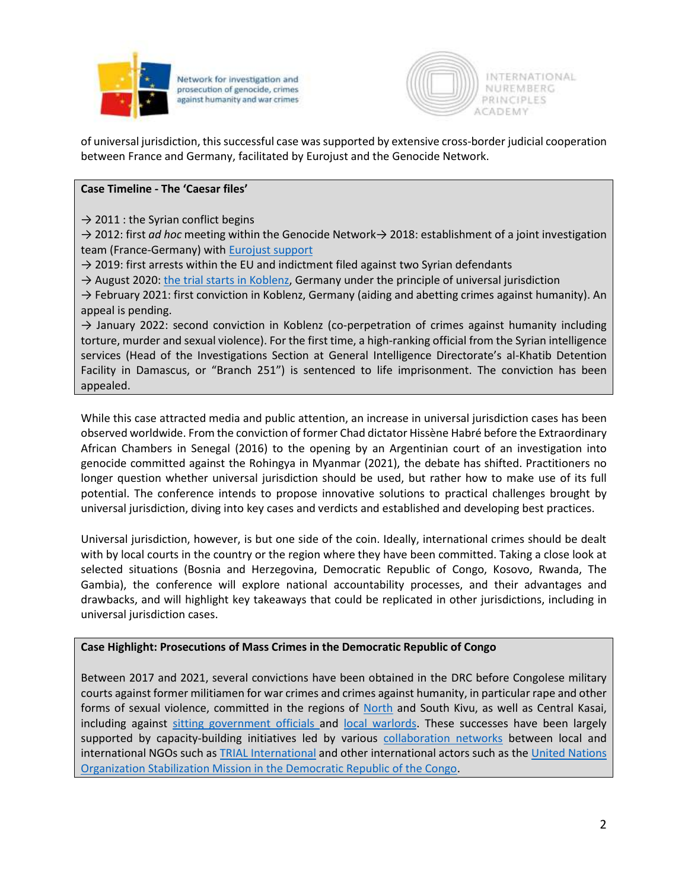

Network for investigation and prosecution of genocide, crimes against humanity and war crimes



of universal jurisdiction, this successful case was supported by extensive cross-border judicial cooperation between France and Germany, facilitated by Eurojust and the Genocide Network.

#### **Case Timeline - The 'Caesar files'**

 $\rightarrow$  2011 : the Syrian conflict begins

→ 2012: first *ad hoc* meeting within the Genocide Network→ 2018: establishment of a joint investigation team (France-Germany) wit[h Eurojust support](https://www.eurojust.europa.eu/news/syrian-official-convicted-crimes-against-humanity-with-support-joint-investigation-team)

 $\rightarrow$  2019: first arrests within the EU and indictment filed against two Syrian defendants

 $\rightarrow$  August 2020: [the trial starts](https://www.ecchr.eu/en/case/trial-updates-first-trial-worldwide-on-torture-in-syria/) in Koblenz, Germany under the principle of universal jurisdiction

 $\rightarrow$  February 2021: first conviction in Koblenz, Germany (aiding and abetting crimes against humanity). An appeal is pending.

 $\rightarrow$  January 2022: second conviction in Koblenz (co-perpetration of crimes against humanity including torture, murder and sexual violence). For the first time, a high-ranking official from the Syrian intelligence services (Head of the Investigations Section at General Intelligence Directorate's al-Khatib Detention Facility in Damascus, or "Branch 251") is sentenced to life imprisonment. The conviction has been appealed.

While this case attracted media and public attention, an increase in universal jurisdiction cases has been observed worldwide. From the conviction of former Chad dictator Hissène Habré before the Extraordinary African Chambers in Senegal (2016) to the opening by an Argentinian court of an investigation into genocide committed against the Rohingya in Myanmar (2021), the debate has shifted. Practitioners no longer question whether universal jurisdiction should be used, but rather how to make use of its full potential. The conference intends to propose innovative solutions to practical challenges brought by universal jurisdiction, diving into key cases and verdicts and established and developing best practices.

Universal jurisdiction, however, is but one side of the coin. Ideally, international crimes should be dealt with by local courts in the country or the region where they have been committed. Taking a close look at selected situations (Bosnia and Herzegovina, Democratic Republic of Congo, Kosovo, Rwanda, The Gambia), the conference will explore national accountability processes, and their advantages and drawbacks, and will highlight key takeaways that could be replicated in other jurisdictions, including in universal jurisdiction cases.

#### **Case Highlight: Prosecutions of Mass Crimes in the Democratic Republic of Congo**

Between 2017 and 2021, several convictions have been obtained in the DRC before Congolese military courts against former militiamen for war crimes and crimes against humanity, in particular rape and other forms of sexual violence, committed in the regions of [North](https://trialinternational.org/latest-post/drc-sheka-and-his-wingman-receive-life-sentences-victims-are-finally-recognized/) and South Kivu, as well as Central Kasai, including against [sitting government officials a](https://trialinternational.org/latest-post/justice-is-delivered-for-the-children-of-kavumu/)nd [local warlords.](https://trialinternational.org/latest-post/shining-verdict-in-the-kokodikoko-case-drc/) These successes have been largely supported by capacity-building initiatives led by various [collaboration networks](https://trialinternational.org/latest-post/drc-life-sentence-for-a-kamuina-nsapu-commander-victims-acknowledged-and-satisfied/) between local and international NGOs such a[s TRIAL International](https://trialinternational.org/latest-post/environmental-crimes-brought-before-the-court-in-south-kivu-drc/) and other international actors such as the United Nations [Organization Stabilization Mission in the Democratic Republic of the Congo.](https://news.un.org/en/story/2019/04/1037411)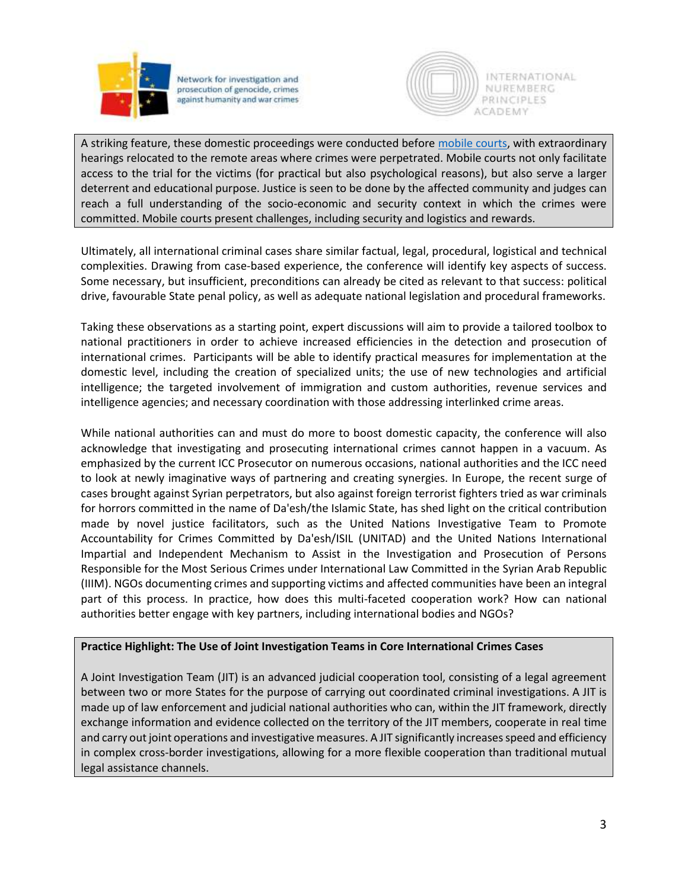

Network for investigation and prosecution of genocide, crimes against humanity and war crimes



A striking feature, these domestic proceedings were conducted before [mobile courts,](https://trialinternational.org/latest-post/mobile-courts-in-the-drc-why-and-how/) with extraordinary hearings relocated to the remote areas where crimes were perpetrated. Mobile courts not only facilitate access to the trial for the victims (for practical but also psychological reasons), but also serve a larger deterrent and educational purpose. Justice is seen to be done by the affected community and judges can reach a full understanding of the socio-economic and security context in which the crimes were committed. Mobile courts present challenges, including security and logistics and rewards.

Ultimately, all international criminal cases share similar factual, legal, procedural, logistical and technical complexities. Drawing from case-based experience, the conference will identify key aspects of success. Some necessary, but insufficient, preconditions can already be cited as relevant to that success: political drive, favourable State penal policy, as well as adequate national legislation and procedural frameworks.

Taking these observations as a starting point, expert discussions will aim to provide a tailored toolbox to national practitioners in order to achieve increased efficiencies in the detection and prosecution of international crimes. Participants will be able to identify practical measures for implementation at the domestic level, including the creation of specialized units; the use of new technologies and artificial intelligence; the targeted involvement of immigration and custom authorities, revenue services and intelligence agencies; and necessary coordination with those addressing interlinked crime areas.

While national authorities can and must do more to boost domestic capacity, the conference will also acknowledge that investigating and prosecuting international crimes cannot happen in a vacuum. As emphasized by the current ICC Prosecutor on numerous occasions, national authorities and the ICC need to look at newly imaginative ways of partnering and creating synergies. In Europe, the recent surge of cases brought against Syrian perpetrators, but also against foreign terrorist fighters tried as war criminals for horrors committed in the name of Da'esh/the Islamic State, has shed light on the critical contribution made by novel justice facilitators, such as the United Nations Investigative Team to Promote Accountability for Crimes Committed by Da'esh/ISIL (UNITAD) and the United Nations International Impartial and Independent Mechanism to Assist in the Investigation and Prosecution of Persons Responsible for the Most Serious Crimes under International Law Committed in the Syrian Arab Republic (IIIM). NGOs documenting crimes and supporting victims and affected communities have been an integral part of this process. In practice, how does this multi-faceted cooperation work? How can national authorities better engage with key partners, including international bodies and NGOs?

#### **Practice Highlight: The Use of Joint Investigation Teams in Core International Crimes Cases**

A Joint Investigation Team (JIT) is an advanced judicial cooperation tool, consisting of a legal agreement between two or more States for the purpose of carrying out coordinated criminal investigations. A JIT is made up of law enforcement and judicial national authorities who can, within the JIT framework, directly exchange information and evidence collected on the territory of the JIT members, cooperate in real time and carry out joint operations and investigative measures. A JIT significantly increases speed and efficiency in complex cross-border investigations, allowing for a more flexible cooperation than traditional mutual legal assistance channels.